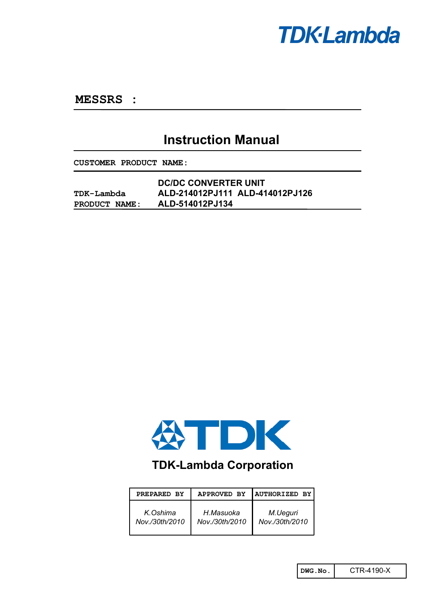

**MESSRS :** 

# **Instruction Manual**

**CUSTOMER PRODUCT NAME:**

|               | <b>DC/DC CONVERTER UNIT</b>     |  |  |
|---------------|---------------------------------|--|--|
| TDK-Lambda    | ALD-214012PJ111 ALD-414012PJ126 |  |  |
| PRODUCT NAME: | ALD-514012PJ134                 |  |  |



# **TDK-Lambda Corporation**

| PREPARED BY    | APPROVED BY    | <b>AUTHORIZED BY</b> |
|----------------|----------------|----------------------|
| K.Oshima       | H.Masuoka      | M.Ueguri             |
| Nov./30th/2010 | Nov./30th/2010 | Nov./30th/2010       |

**DWG.No.** CTR-4190-X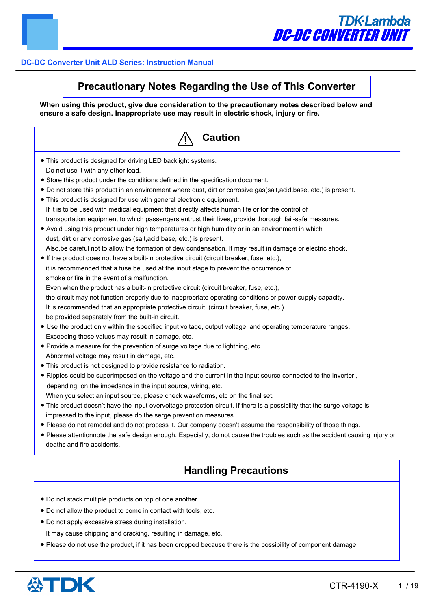# **Precautionary Notes Regarding the Use of This Converter**

**When using this product, give due consideration to the precautionary notes described below and ensure a safe design. Inappropriate use may result in electric shock, injury or fire.**

| <b>Caution</b>                                                                                                                                                                                                                                                                                                                                                                                                                                                                                                                                                                                                                                                                                                                                                                                                                                                                                                                                                                                                                                                                                                                                                                                                                                                                                                                                                                                                                                                                                                                                                                                                                                                                                                                                          |
|---------------------------------------------------------------------------------------------------------------------------------------------------------------------------------------------------------------------------------------------------------------------------------------------------------------------------------------------------------------------------------------------------------------------------------------------------------------------------------------------------------------------------------------------------------------------------------------------------------------------------------------------------------------------------------------------------------------------------------------------------------------------------------------------------------------------------------------------------------------------------------------------------------------------------------------------------------------------------------------------------------------------------------------------------------------------------------------------------------------------------------------------------------------------------------------------------------------------------------------------------------------------------------------------------------------------------------------------------------------------------------------------------------------------------------------------------------------------------------------------------------------------------------------------------------------------------------------------------------------------------------------------------------------------------------------------------------------------------------------------------------|
| • This product is designed for driving LED backlight systems.<br>Do not use it with any other load.<br>• Store this product under the conditions defined in the specification document.<br>• Do not store this product in an environment where dust, dirt or corrosive gas(salt, acid, base, etc.) is present.<br>• This product is designed for use with general electronic equipment.<br>If it is to be used with medical equipment that directly affects human life or for the control of<br>transportation equipment to which passengers entrust their lives, provide thorough fail-safe measures.<br>• Avoid using this product under high temperatures or high humidity or in an environment in which<br>dust, dirt or any corrosive gas (salt, acid, base, etc.) is present.<br>Also, be careful not to allow the formation of dew condensation. It may result in damage or electric shock.<br>• If the product does not have a built-in protective circuit (circuit breaker, fuse, etc.),<br>it is recommended that a fuse be used at the input stage to prevent the occurrence of<br>smoke or fire in the event of a malfunction.<br>Even when the product has a built-in protective circuit (circuit breaker, fuse, etc.),<br>the circuit may not function properly due to inappropriate operating conditions or power-supply capacity.<br>It is recommended that an appropriate protective circuit (circuit breaker, fuse, etc.)<br>be provided separately from the built-in circuit.<br>• Use the product only within the specified input voltage, output voltage, and operating temperature ranges.<br>Exceeding these values may result in damage, etc.<br>• Provide a measure for the prevention of surge voltage due to lightning, etc. |
| Abnormal voltage may result in damage, etc.<br>• This product is not designed to provide resistance to radiation.<br>. Ripples could be superimposed on the voltage and the current in the input source connected to the inverter,<br>depending on the impedance in the input source, wiring, etc.<br>When you select an input source, please check waveforms, etc on the final set.<br>. This product doesn't have the input overvoltage protection circuit. If there is a possibility that the surge voltage is<br>impressed to the input, please do the serge prevention measures.<br>. Please do not remodel and do not process it. Our company doesn't assume the responsibility of those things.<br>• Please attentionnote the safe design enough. Especially, do not cause the troubles such as the accident causing injury or<br>deaths and fire accidents.                                                                                                                                                                                                                                                                                                                                                                                                                                                                                                                                                                                                                                                                                                                                                                                                                                                                                     |
| <b>Handling Precautions</b>                                                                                                                                                                                                                                                                                                                                                                                                                                                                                                                                                                                                                                                                                                                                                                                                                                                                                                                                                                                                                                                                                                                                                                                                                                                                                                                                                                                                                                                                                                                                                                                                                                                                                                                             |
| . Do not stack multiple products on top of one another.<br>• Do not allow the product to come in contact with tools, etc.                                                                                                                                                                                                                                                                                                                                                                                                                                                                                                                                                                                                                                                                                                                                                                                                                                                                                                                                                                                                                                                                                                                                                                                                                                                                                                                                                                                                                                                                                                                                                                                                                               |

- Do not apply excessive stress during installation.
	- It may cause chipping and cracking, resulting in damage, etc.
- Please do not use the product, if it has been dropped because there is the possibility of component damage.

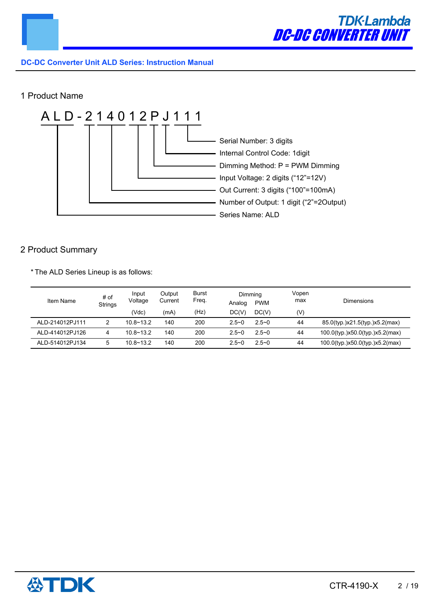

# 1 Product Name



# 2 Product Summary

\* The ALD Series Lineup is as follows:

| Item Name       | # of<br><b>Strings</b> | Input<br>Voltage<br>(Vdc) | Output<br>Current<br>(mA) | <b>Burst</b><br>Freq.<br>(Hz) | Dimming<br>Analog<br>DC(V) | <b>PWM</b><br>DC(V) | Vopen<br>max<br>(V) | <b>Dimensions</b>                  |
|-----------------|------------------------|---------------------------|---------------------------|-------------------------------|----------------------------|---------------------|---------------------|------------------------------------|
| ALD-214012PJ111 |                        | $10.8 - 13.2$             | 140                       | 200                           | $2.5 - 0$                  | $2.5 - 0$           | 44                  | 85.0(typ.)x21.5(typ.)x5.2(max)     |
| ALD-414012PJ126 |                        | $10.8 - 13.2$             | 140                       | 200                           | $2.5 - 0$                  | $2.5 - 0$           | 44                  | 100.0(typ.)x50.0(typ.)x5.2(max)    |
| ALD-514012PJ134 |                        | $10.8 - 13.2$             | 140                       | 200                           | $2.5 - 0$                  | $2.5 - 0$           | 44                  | $100.0$ (typ.)x50.0(typ.)x5.2(max) |

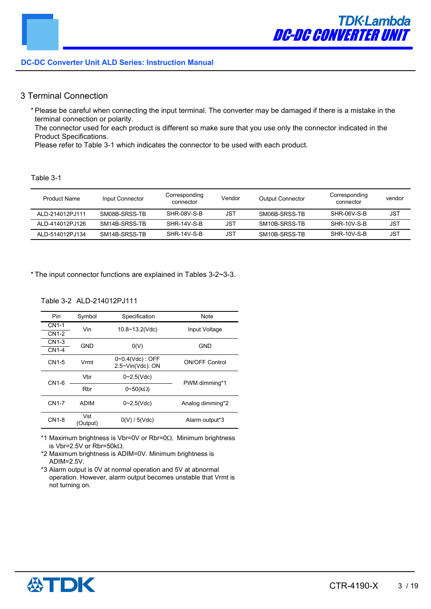# 3 Terminal Connection

\* Please be careful when connecting the input terminal. The converter may be damaged if there is a mistake in the terminal connection or polarity.

The connector used for each product is different so make sure that you use only the connector indicated in the Product Specifications.

Please refer to Table 3-1 which indicates the connector to be used with each product.

#### Table 3-1

| <b>Product Name</b> | Input Connector | Corresponding<br>connector | Vendor     | <b>Output Connector</b> | Corresponding<br>connector | vendor |
|---------------------|-----------------|----------------------------|------------|-------------------------|----------------------------|--------|
| ALD-214012PJ111     | SM08B-SRSS-TB   | SHR-08V-S-B                | JST        | SM06B-SRSS-TB           | SHR-06V-S-B                | JST    |
| ALD-414012PJ126     | SM14B-SRSS-TB   | SHR-14V-S-B                | <b>JST</b> | SM10B-SRSS-TB           | SHR-10V-S-B                | JST    |
| ALD-514012PJ134     | SM14B-SRSS-TB   | SHR-14V-S-B                | JST        | SM10B-SRSS-TB           | SHR-10V-S-B                | JST    |

\* The input connector functions are explained in Tables 3-2~3-3.

#### Table 3-2 ALD-214012PJ111

| Pin               | Symbol          | Specification                                    | Note                  |  |
|-------------------|-----------------|--------------------------------------------------|-----------------------|--|
| CN <sub>1-1</sub> | Vin             | $10.8 - 13.2$ (Vdc)                              | Input Voltage         |  |
| CN1-2             |                 |                                                  |                       |  |
| CN1-3             | GND             | O(V)                                             | <b>GND</b>            |  |
| <b>CN1-4</b>      |                 |                                                  |                       |  |
| CN1-5             | Vrmt            | $0 - 0.4$ (Vdc) : OFF<br>$2.5 \sim$ Vin(Vdc): ON | <b>ON/OFF Control</b> |  |
| CN1-6             | Vbr             | $0 - 2.5$ (Vdc)                                  | PWM dimming*1         |  |
|                   | Rbr             | $0 \sim 50(k\Omega)$                             |                       |  |
| <b>CN1-7</b>      | <b>ADIM</b>     | $0 - 2.5$ (Vdc)                                  | Analog dimming*2      |  |
| CN1-8             | Vst<br>(Output) | 0(V)/5(Vdc)                                      | Alarm output*3        |  |

\*1 Maximum brightness is Vbr=0V or Rbr=0 $\Omega$ . Minimum brightness is Vbr=2.5V or Rbr=50k $\Omega$ .

\*2 Maximum brightness is ADIM=0V. Minimum brightness is ADIM=2.5V.

\*3 Alarm output is 0V at normal operation and 5V at abnormal operation. However, alarm output becomes unstable that Vrmt is not turning on.

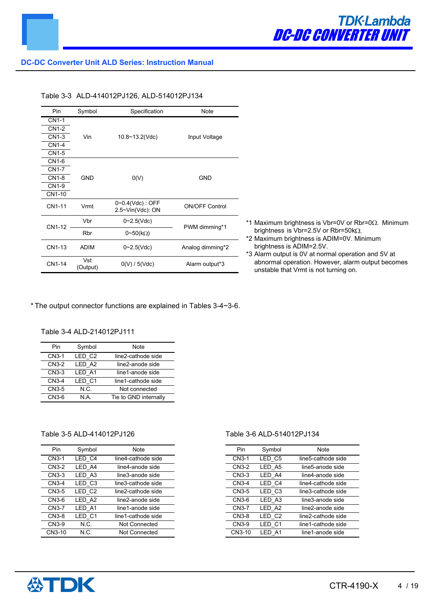| Pin          | Symbol          | Specification                                    | Note                  |                                          |
|--------------|-----------------|--------------------------------------------------|-----------------------|------------------------------------------|
| <b>CN1-1</b> |                 |                                                  |                       |                                          |
| CN1-2        |                 |                                                  |                       |                                          |
| CN1-3        | Vin             | $10.8 \sim 13.2$ (Vdc)                           | Input Voltage         |                                          |
| <b>CN1-4</b> |                 |                                                  |                       |                                          |
| CN1-5        |                 |                                                  |                       |                                          |
| CN1-6        |                 |                                                  |                       |                                          |
| <b>CN1-7</b> |                 |                                                  |                       |                                          |
| CN1-8        | <b>GND</b>      | O(V)                                             | <b>GND</b>            |                                          |
| CN1-9        |                 |                                                  |                       |                                          |
| CN1-10       |                 |                                                  |                       |                                          |
| CN1-11       | Vrmt            | $0 - 0.4$ (Vdc) : OFF<br>$2.5 \sim$ Vin(Vdc): ON | <b>ON/OFF Control</b> |                                          |
| CN1-12       | Vbr             | $0 - 2.5$ (Vdc)                                  | PWM dimming*1         | *1 Maximum brightr                       |
|              | Rbr             | $0 \sim 50$ (kΩ)                                 |                       | brightness is Vbr<br>*2 Maximum brightr  |
| CN1-13       | <b>ADIM</b>     | $0 - 2.5$ (Vdc)                                  | Analog dimming*2      | brightness is AD<br>*3 Alarm output is 0 |
| CN1-14       | Vst<br>(Output) | 0(V) / 5(Vdc)                                    | Alarm output*3        | abnormal operati<br>unstable that Vrn    |

- ness is Vbr=0V or Rbr=0 $\Omega$ . Minimum  $r=2.5V$  or Rbr=50k $\Omega$ .
- ness is ADIM=0V. Minimum  $1M=2.5V$ .

IV at normal operation and 5V at ion. However, alarm output becomes mt is not turning on.

\* The output connector functions are explained in Tables 3-4~3-6.

#### Table 3-4 ALD-214012PJ111

| Pin   | Symbol | Note                  |
|-------|--------|-----------------------|
| CN3-1 | LED C2 | line2-cathode side    |
| CN3-2 | LED A2 | line2-anode side      |
| CN3-3 | LED A1 | line1-anode side      |
| CN3-4 | LED C1 | line1-cathode side    |
| CN3-5 | N.C.   | Not connected         |
| CN3-6 | N A    | Tie to GND internally |

# Table 3-5 ALD-414012PJ126

| Pin                | Symbol | Note                 |
|--------------------|--------|----------------------|
| CN <sub>3</sub> -1 | LED C4 | line4-cathode side   |
| CN3-2              | LED A4 | line4-anode side     |
| CN3-3              | LED A3 | line3-anode side     |
| $CN3-4$            | LED C3 | line3-cathode side   |
| CN3-5              | LED C2 | line2-cathode side   |
| CN3-6              | LED A2 | line2-anode side     |
| CN3-7              | LED A1 | line1-anode side     |
| CN3-8              | LED C1 | line1-cathode side   |
| CN3-9              | N.C.   | Not Connected        |
| CN3-10             | N C.   | <b>Not Connected</b> |

#### Table 3-6 ALD-514012PJ134

| Pin    | Symbol | Note               |
|--------|--------|--------------------|
| CN3-1  | LED C5 | line5-cathode side |
| CN3-2  | LED A5 | line5-anode side   |
| CN3-3  | LED A4 | line4-anode side   |
| CN3-4  | LED C4 | line4-cathode side |
| CN3-5  | LED C3 | line3-cathode side |
| CN3-6  | LED A3 | line3-anode side   |
| CN3-7  | LED A2 | line2-anode side   |
| CN3-8  | LED C2 | line2-cathode side |
| CN3-9  | LED C1 | line1-cathode side |
| CN3-10 | LED A1 | line1-anode side   |

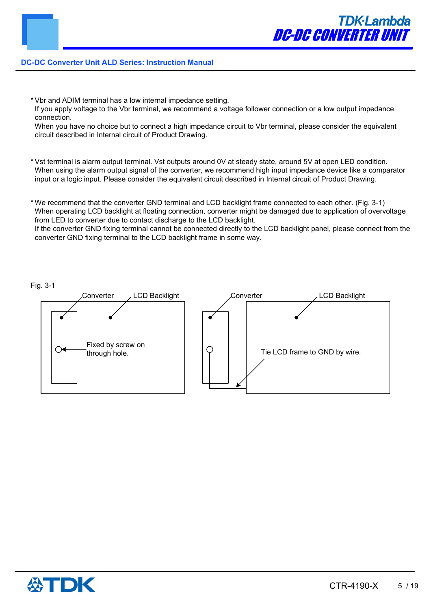- \* Vbr and ADIM terminal has a low internal impedance setting.
- If you apply voltage to the Vbr terminal, we recommend a voltage follower connection or a low output impedance connection.

When you have no choice but to connect a high impedance circuit to Vbr terminal, please consider the equivalent circuit described in Internal circuit of Product Drawing.

\* Vst terminal is alarm output terminal. Vst outputs around 0V at steady state, around 5V at open LED condition. When using the alarm output signal of the converter, we recommend high input impedance device like a comparator input or a logic input. Please consider the equivalent circuit described in Internal circuit of Product Drawing.

\* We recommend that the converter GND terminal and LCD backlight frame connected to each other. (Fig. 3-1) When operating LCD backlight at floating connection, converter might be damaged due to application of overvoltage from LED to converter due to contact discharge to the LCD backlight. If the converter GND fixing terminal cannot be connected directly to the LCD backlight panel, please connect from the converter GND fixing terminal to the LCD backlight frame in some way.



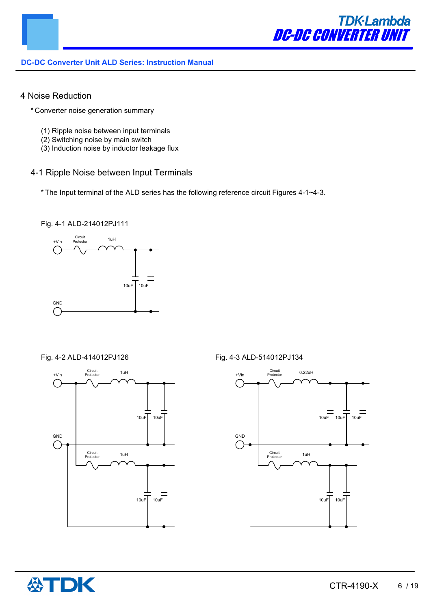

# 4 Noise Reduction

- \* Converter noise generation summary
	- (1) Ripple noise between input terminals
	- (2) Switching noise by main switch
	- (3) Induction noise by inductor leakage flux

# 4-1 Ripple Noise between Input Terminals

\* The Input terminal of the ALD series has the following reference circuit Figures 4-1~4-3.

#### Fig. 4-1 ALD-214012PJ111





#### Fig. 4-2 ALD-414012PJ126 Fig. 4-3 ALD-514012PJ134



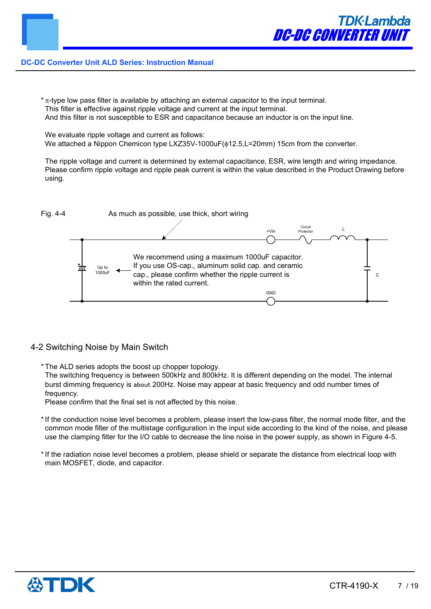$*$   $\pi$ -type low pass filter is available by attaching an external capacitor to the input terminal. This filter is effective against ripple voltage and current at the input terminal. And this filter is not susceptible to ESR and capacitance because an inductor is on the input line.

We evaluate ripple voltage and current as follows: We attached a Nippon Chemicon type LXZ35V-1000uF( $\phi$ 12.5, L=20mm) 15cm from the converter.

The ripple voltage and current is determined by external capacitance, ESR, wire length and wiring impedance. Please confirm ripple voltage and ripple peak current is within the value described in the Product Drawing before using.



# 4-2 Switching Noise by Main Switch

\* The ALD series adopts the boost up chopper topology.

The switching frequency is between 500kHz and 800kHz. It is different depending on the model. The internal burst dimming frequency is about 200Hz. Noise may appear at basic frequency and odd number times of frequency.

Please confirm that the final set is not affected by this noise.

- \* If the conduction noise level becomes a problem, please insert the low-pass filter, the normal mode filter, and the common mode filter of the multistage configuration in the input side according to the kind of the noise, and please use the clamping filter for the I/O cable to decrease the line noise in the power supply, as shown in Figure 4-5.
- \* If the radiation noise level becomes a problem, please shield or separate the distance from electrical loop with main MOSFET, diode, and capacitor.

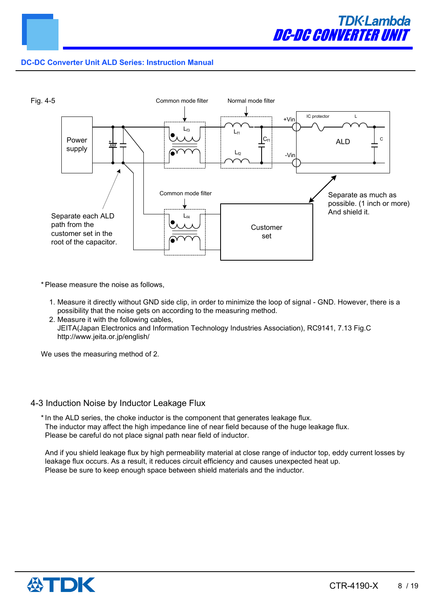



\* Please measure the noise as follows,

- 1. Measure it directly without GND side clip, in order to minimize the loop of signal GND. However, there is a possibility that the noise gets on according to the measuring method.
- 2. Measure it with the following cables, JEITA(Japan Electronics and Information Technology Industries Association), RC9141, 7.13 Fig.C http://www.jeita.or.jp/english/

We uses the measuring method of 2.

#### 4-3 Induction Noise by Inductor Leakage Flux

\* In the ALD series, the choke inductor is the component that generates leakage flux. The inductor may affect the high impedance line of near field because of the huge leakage flux. Please be careful do not place signal path near field of inductor.

And if you shield leakage flux by high permeability material at close range of inductor top, eddy current losses by leakage flux occurs. As a result, it reduces circuit efficiency and causes unexpected heat up. Please be sure to keep enough space between shield materials and the inductor.

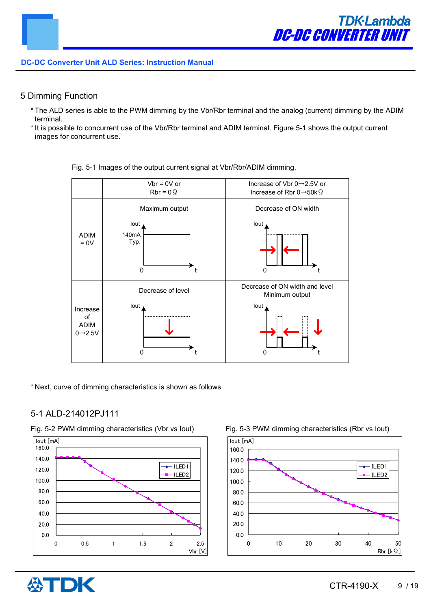# 5 Dimming Function

- \* The ALD series is able to the PWM dimming by the Vbr/Rbr terminal and the analog (current) dimming by the ADIM terminal.
- \* It is possible to concurrent use of the Vbr/Rbr terminal and ADIM terminal. Figure 5-1 shows the output current images for concurrent use.



Fig. 5-1 Images of the output current signal at Vbr/Rbr/ADIM dimming.

\* Next, curve of dimming characteristics is shown as follows.

# 5-1 ALD-214012PJ111



Fig. 5-2 PWM dimming characteristics (Vbr vs Iout) Fig. 5-3 PWM dimming characteristics (Rbr vs Iout)

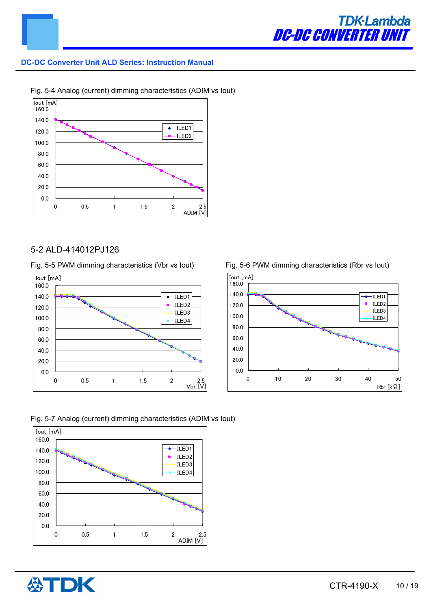





# 5-2 ALD-414012PJ126

Fig. 5-5 PWM dimming characteristics (Vbr vs Iout) Fig. 5-6 PWM dimming characteristics (Rbr vs Iout)









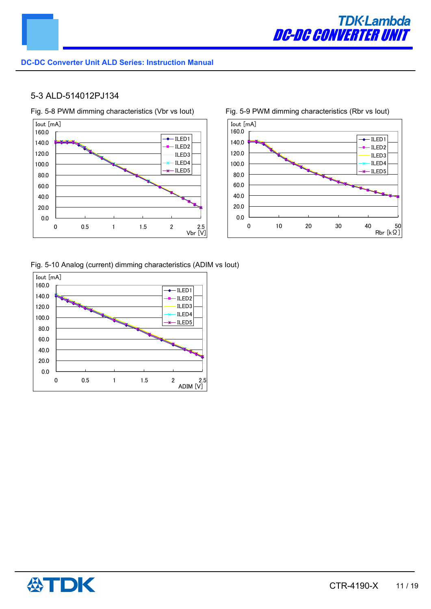

# 5-3 ALD-514012PJ134





Fig. 5-10 Analog (current) dimming characteristics (ADIM vs Iout)



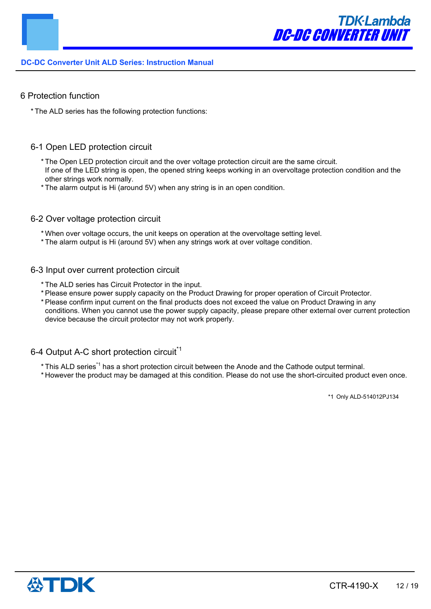

#### 6 Protection function

\* The ALD series has the following protection functions:

# 6-1 Open LED protection circuit

- \* The Open LED protection circuit and the over voltage protection circuit are the same circuit. If one of the LED string is open, the opened string keeps working in an overvoltage protection condition and the other strings work normally.
- \* The alarm output is Hi (around 5V) when any string is in an open condition.
- 6-2 Over voltage protection circuit
	- \* When over voltage occurs, the unit keeps on operation at the overvoltage setting level.
	- \* The alarm output is Hi (around 5V) when any strings work at over voltage condition.
- 6-3 Input over current protection circuit
	- \* The ALD series has Circuit Protector in the input.
	- \* Please ensure power supply capacity on the Product Drawing for proper operation of Circuit Protector.
	- \* Please confirm input current on the final products does not exceed the value on Product Drawing in any conditions. When you cannot use the power supply capacity, please prepare other external over current protection device because the circuit protector may not work properly.

# 6-4 Output A-C short protection circuit<sup>\*1</sup>

- \* This ALD series<sup>\*1</sup> has a short protection circuit between the Anode and the Cathode output terminal.
- \* However the product may be damaged at this condition. Please do not use the short-circuited product even once.

\*1 Only ALD-514012PJ134

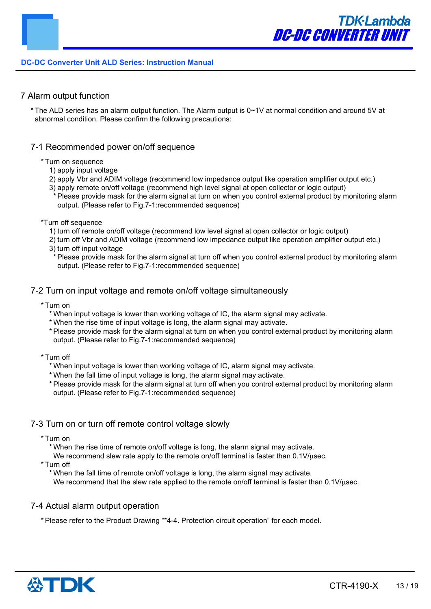# 7 Alarm output function

\* The ALD series has an alarm output function. The Alarm output is 0~1V at normal condition and around 5V at abnormal condition. Please confirm the following precautions:

#### 7-1 Recommended power on/off sequence

#### \* Turn on sequence

- 1) apply input voltage
- 2) apply Vbr and ADIM voltage (recommend low impedance output like operation amplifier output etc.)
- 3) apply remote on/off voltage (recommend high level signal at open collector or logic output)
- \* Please provide mask for the alarm signal at turn on when you control external product by monitoring alarm output. (Please refer to Fig.7-1:recommended sequence)

#### \*Turn off sequence

- 1) turn off remote on/off voltage (recommend low level signal at open collector or logic output)
- 2) turn off Vbr and ADIM voltage (recommend low impedance output like operation amplifier output etc.)
- 3) turn off input voltage
- \* Please provide mask for the alarm signal at turn off when you control external product by monitoring alarm output. (Please refer to Fig.7-1:recommended sequence)

#### 7-2 Turn on input voltage and remote on/off voltage simultaneously

- \* Turn on
	- \* When input voltage is lower than working voltage of IC, the alarm signal may activate.
	- \* When the rise time of input voltage is long, the alarm signal may activate.
	- \* Please provide mask for the alarm signal at turn on when you control external product by monitoring alarm output. (Please refer to Fig.7-1:recommended sequence)
- \* Turn off
	- \* When input voltage is lower than working voltage of IC, alarm signal may activate.
	- \* When the fall time of input voltage is long, the alarm signal may activate.
	- \* Please provide mask for the alarm signal at turn off when you control external product by monitoring alarm output. (Please refer to Fig.7-1:recommended sequence)

# 7-3 Turn on or turn off remote control voltage slowly

- \* Turn on
	- \* When the rise time of remote on/off voltage is long, the alarm signal may activate.
	- We recommend slew rate apply to the remote on/off terminal is faster than  $0.1$ V/ $\mu$ sec.

\* Turn off

\* When the fall time of remote on/off voltage is long, the alarm signal may activate.

We recommend that the slew rate applied to the remote on/off terminal is faster than  $0.1 \text{V}/\text{\mu}$ sec.

#### 7-4 Actual alarm output operation

\* Please refer to the Product Drawing "\*4-4. Protection circuit operation" for each model.

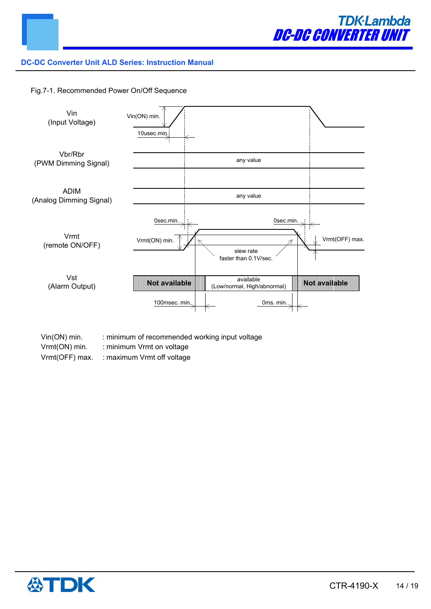

Fig.7-1. Recommended Power On/Off Sequence



- Vin(ON) min. : minimum of recommended working input voltage
- Vrmt(ON) min. : minimum Vrmt on voltage
- Vrmt(OFF) max. : maximum Vrmt off voltage

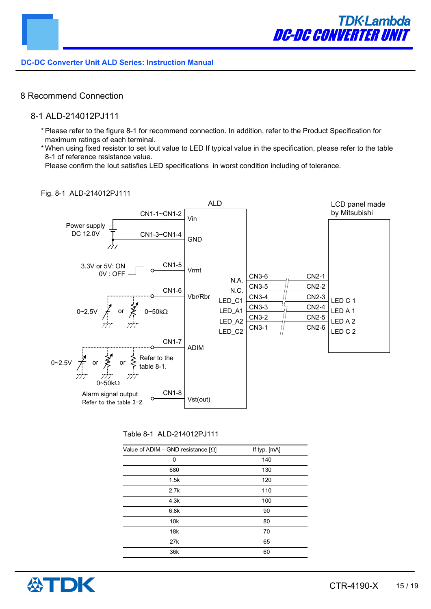# 8 Recommend Connection

# 8-1 ALD-214012PJ111

- \* Please refer to the figure 8-1 for recommend connection. In addition, refer to the Product Specification for maximum ratings of each terminal.
- \* When using fixed resistor to set Iout value to LED If typical value in the specification, please refer to the table 8-1 of reference resistance value.

Please confirm the Iout satisfies LED specifications in worst condition including of tolerance.

#### Fig. 8-1 ALD-214012PJ111



| Table 8-1 ALD-214012PJ111 |  |
|---------------------------|--|
|---------------------------|--|

| Value of ADIM – GND resistance $[\Omega]$ | If typ. [mA] |
|-------------------------------------------|--------------|
| 0                                         | 140          |
| 680                                       | 130          |
| 1.5k                                      | 120          |
| 2.7k                                      | 110          |
| 4.3k                                      | 100          |
| 6.8k                                      | 90           |
| 10k                                       | 80           |
| 18k                                       | 70           |
| 27 <sub>k</sub>                           | 65           |
| 36k                                       | 60           |

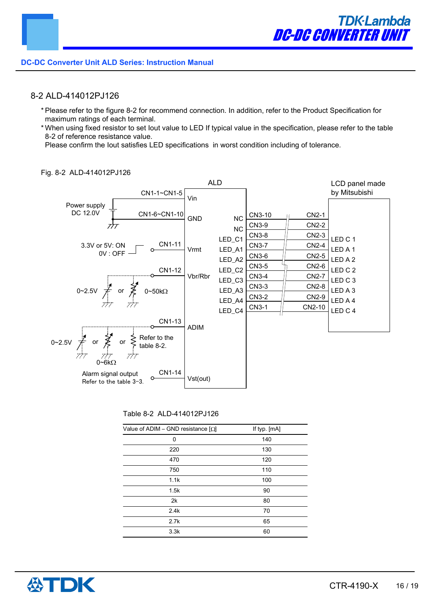# 8-2 ALD-414012PJ126

- \* Please refer to the figure 8-2 for recommend connection. In addition, refer to the Product Specification for maximum ratings of each terminal.
- \* When using fixed resistor to set Iout value to LED If typical value in the specification, please refer to the table 8-2 of reference resistance value.

Please confirm the Iout satisfies LED specifications in worst condition including of tolerance.



#### Fig. 8-2 ALD-414012PJ126

#### Table 8-2 ALD-414012PJ126

| Value of ADIM – GND resistance $[\Omega]$ | If typ. [mA] |
|-------------------------------------------|--------------|
| 0                                         | 140          |
| 220                                       | 130          |
| 470                                       | 120          |
| 750                                       | 110          |
| 1.1k                                      | 100          |
| 1.5k                                      | 90           |
| 2k                                        | 80           |
| 2.4k                                      | 70           |
| 2.7k                                      | 65           |
| 3.3k                                      | 60           |

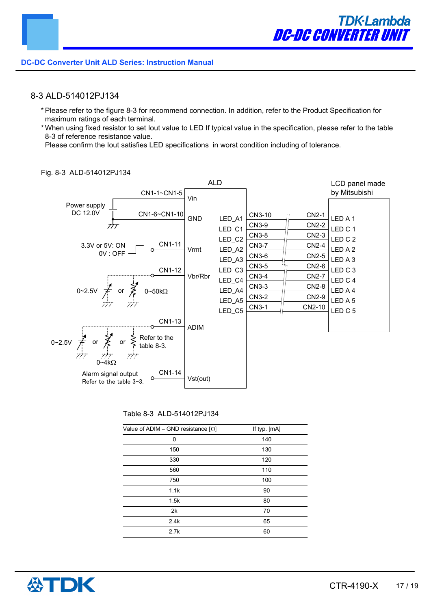# 8-3 ALD-514012PJ134

- \* Please refer to the figure 8-3 for recommend connection. In addition, refer to the Product Specification for maximum ratings of each terminal.
- \* When using fixed resistor to set Iout value to LED If typical value in the specification, please refer to the table 8-3 of reference resistance value.

Please confirm the Iout satisfies LED specifications in worst condition including of tolerance.



#### Fig. 8-3 ALD-514012PJ134

#### Table 8-3 ALD-514012PJ134

| Value of ADIM – GND resistance $[\Omega]$ | If typ. [mA] |
|-------------------------------------------|--------------|
| 0                                         | 140          |
| 150                                       | 130          |
| 330                                       | 120          |
| 560                                       | 110          |
| 750                                       | 100          |
| 1.1k                                      | 90           |
| 1.5k                                      | 80           |
| 2k                                        | 70           |
| 2.4k                                      | 65           |
| 2.7k                                      | 60           |

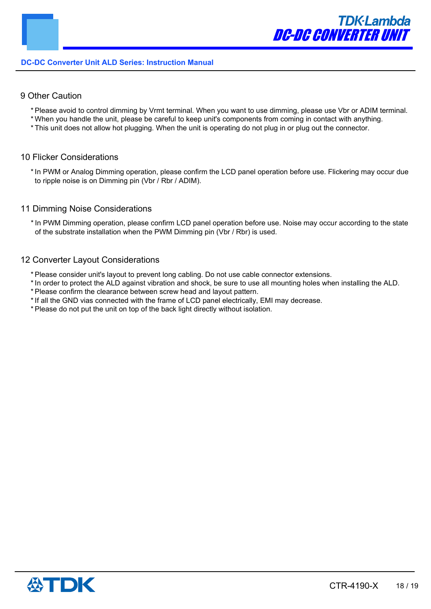# 9 Other Caution

- \* Please avoid to control dimming by Vrmt terminal. When you want to use dimming, please use Vbr or ADIM terminal.
- \* When you handle the unit, please be careful to keep unit's components from coming in contact with anything.
- \* This unit does not allow hot plugging. When the unit is operating do not plug in or plug out the connector.

#### 10 Flicker Considerations

\* In PWM or Analog Dimming operation, please confirm the LCD panel operation before use. Flickering may occur due to ripple noise is on Dimming pin (Vbr / Rbr / ADIM).

#### 11 Dimming Noise Considerations

\* In PWM Dimming operation, please confirm LCD panel operation before use. Noise may occur according to the state of the substrate installation when the PWM Dimming pin (Vbr / Rbr) is used.

#### 12 Converter Layout Considerations

- \* Please consider unit's layout to prevent long cabling. Do not use cable connector extensions.
- \* In order to protect the ALD against vibration and shock, be sure to use all mounting holes when installing the ALD.
- \* Please confirm the clearance between screw head and layout pattern.
- \* If all the GND vias connected with the frame of LCD panel electrically, EMI may decrease.
- \* Please do not put the unit on top of the back light directly without isolation.